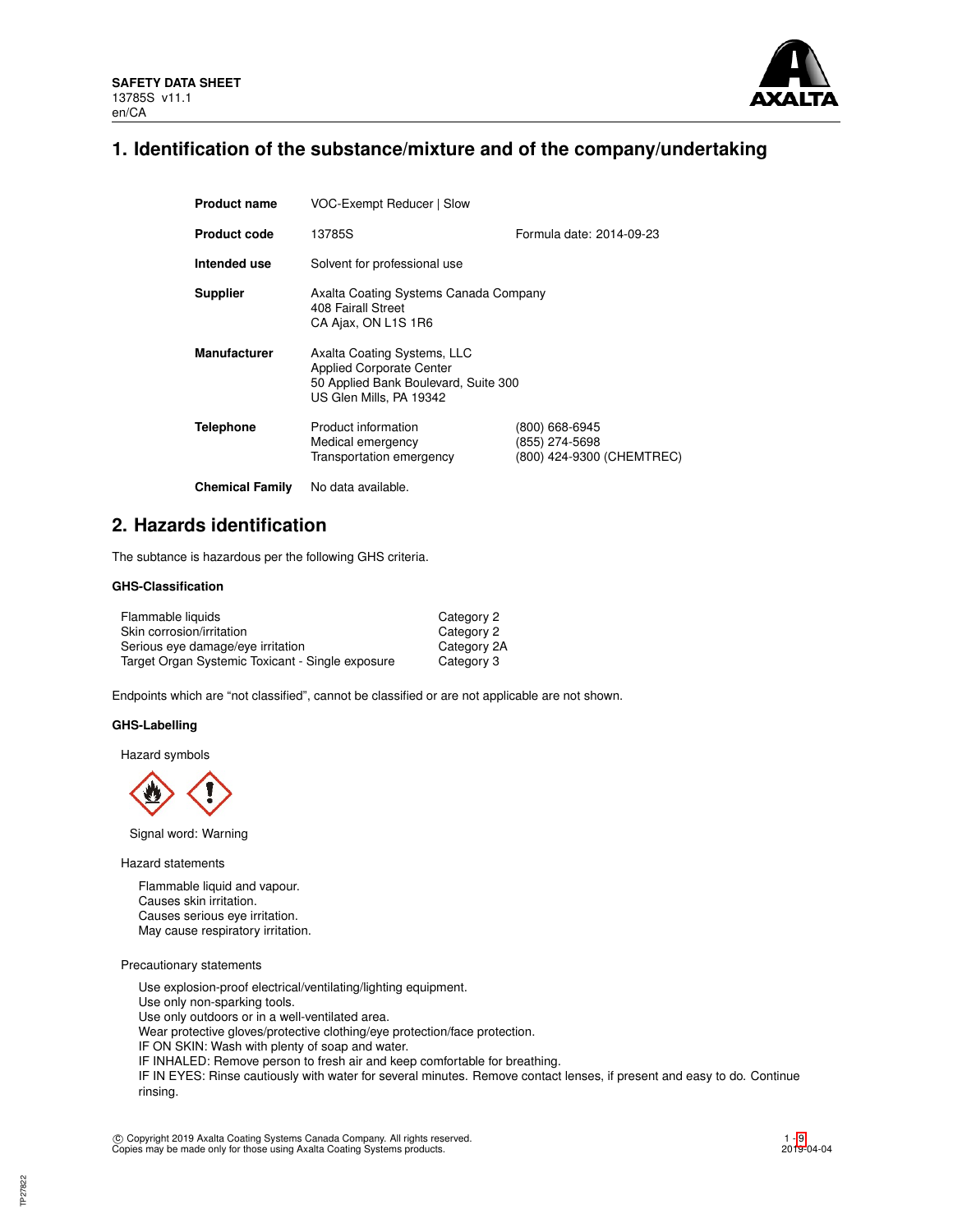

# **1. Identification of the substance/mixture and of the company/undertaking**

| <b>Product name</b>    | VOC-Exempt Reducer   Slow                                                                                                         |                                                               |  |  |  |
|------------------------|-----------------------------------------------------------------------------------------------------------------------------------|---------------------------------------------------------------|--|--|--|
| <b>Product code</b>    | Formula date: 2014-09-23<br>13785S                                                                                                |                                                               |  |  |  |
| Intended use           | Solvent for professional use                                                                                                      |                                                               |  |  |  |
| <b>Supplier</b>        | Axalta Coating Systems Canada Company<br>408 Fairall Street<br>CA Ajax, ON L1S 1R6                                                |                                                               |  |  |  |
| <b>Manufacturer</b>    | Axalta Coating Systems, LLC<br><b>Applied Corporate Center</b><br>50 Applied Bank Boulevard, Suite 300<br>US Glen Mills, PA 19342 |                                                               |  |  |  |
| <b>Telephone</b>       | Product information<br>Medical emergency<br>Transportation emergency                                                              | (800) 668-6945<br>(855) 274-5698<br>(800) 424-9300 (CHEMTREC) |  |  |  |
| <b>Chemical Family</b> | No data available.                                                                                                                |                                                               |  |  |  |

## **2. Hazards identification**

The subtance is hazardous per the following GHS criteria.

## **GHS-Classification**

| Flammable liquids                                | Category 2  |
|--------------------------------------------------|-------------|
| Skin corrosion/irritation                        | Category 2  |
| Serious eye damage/eye irritation                | Category 2A |
| Target Organ Systemic Toxicant - Single exposure | Category 3  |

Endpoints which are "not classified", cannot be classified or are not applicable are not shown.

### **GHS-Labelling**

Hazard symbols



Signal word: Warning

Hazard statements

Flammable liquid and vapour. Causes skin irritation. Causes serious eye irritation. May cause respiratory irritation.

Precautionary statements

Use explosion-proof electrical/ventilating/lighting equipment. Use only non-sparking tools. Use only outdoors or in a well-ventilated area. Wear protective gloves/protective clothing/eye protection/face protection. IF ON SKIN: Wash with plenty of soap and water. IF INHALED: Remove person to fresh air and keep comfortable for breathing. IF IN EYES: Rinse cautiously with water for several minutes. Remove contact lenses, if present and easy to do. Continue rinsing.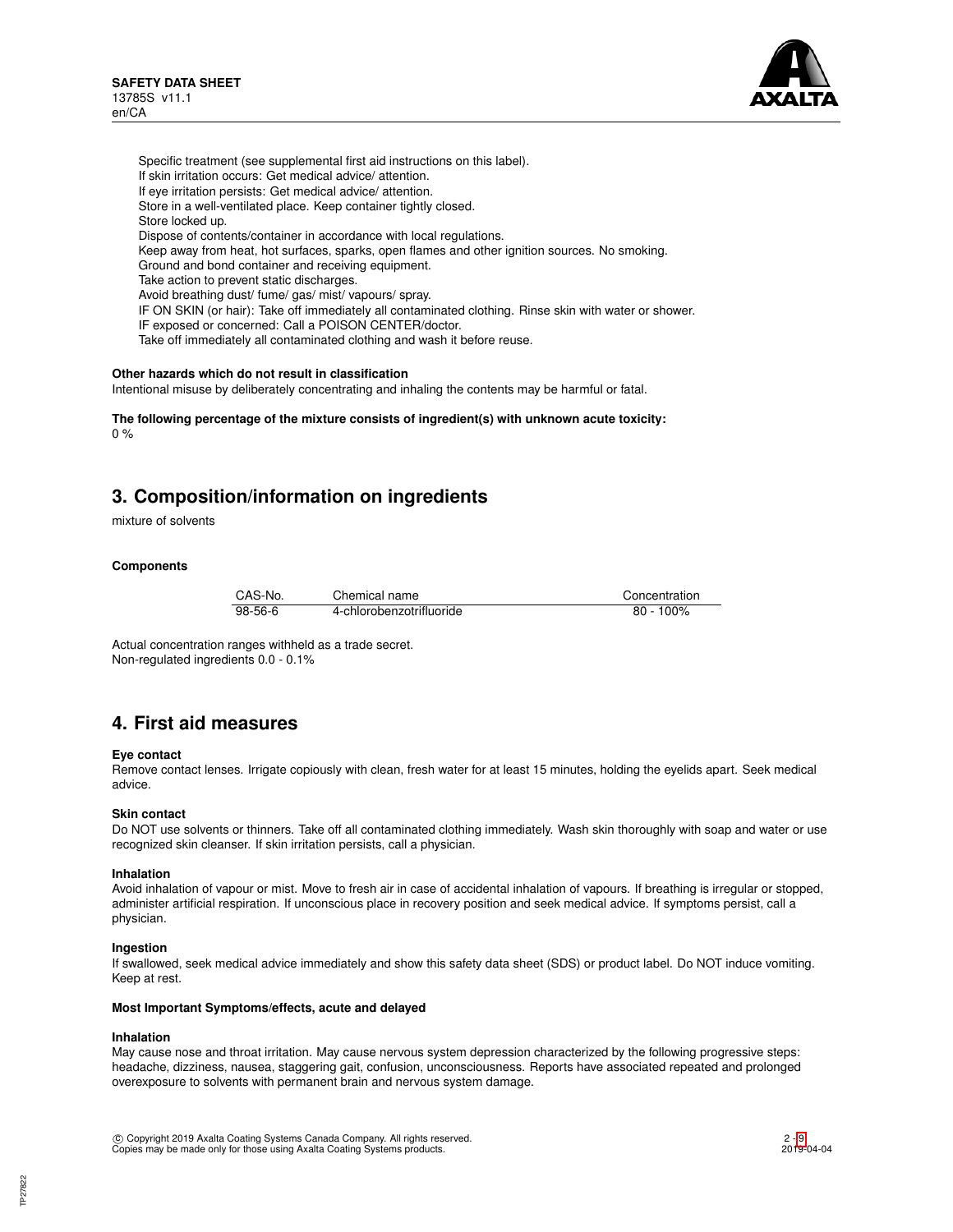

Specific treatment (see supplemental first aid instructions on this label). If skin irritation occurs: Get medical advice/ attention. If eye irritation persists: Get medical advice/ attention. Store in a well-ventilated place. Keep container tightly closed. Store locked up. Dispose of contents/container in accordance with local regulations. Keep away from heat, hot surfaces, sparks, open flames and other ignition sources. No smoking. Ground and bond container and receiving equipment. Take action to prevent static discharges. Avoid breathing dust/ fume/ gas/ mist/ vapours/ spray. IF ON SKIN (or hair): Take off immediately all contaminated clothing. Rinse skin with water or shower. IF exposed or concerned: Call a POISON CENTER/doctor. Take off immediately all contaminated clothing and wash it before reuse.

### **Other hazards which do not result in classification**

Intentional misuse by deliberately concentrating and inhaling the contents may be harmful or fatal.

**The following percentage of the mixture consists of ingredient(s) with unknown acute toxicity:**  $0 %$ 

# **3. Composition/information on ingredients**

mixture of solvents

## **Components**

| CAS-No. | Chemical name            | Concentration |
|---------|--------------------------|---------------|
| 98-56-6 | 4-chlorobenzotrifluoride | $80 - 100\%$  |

Actual concentration ranges withheld as a trade secret. Non-regulated ingredients 0.0 - 0.1%

## **4. First aid measures**

### **Eye contact**

Remove contact lenses. Irrigate copiously with clean, fresh water for at least 15 minutes, holding the eyelids apart. Seek medical advice.

### **Skin contact**

Do NOT use solvents or thinners. Take off all contaminated clothing immediately. Wash skin thoroughly with soap and water or use recognized skin cleanser. If skin irritation persists, call a physician.

#### **Inhalation**

Avoid inhalation of vapour or mist. Move to fresh air in case of accidental inhalation of vapours. If breathing is irregular or stopped, administer artificial respiration. If unconscious place in recovery position and seek medical advice. If symptoms persist, call a physician.

### **Ingestion**

If swallowed, seek medical advice immediately and show this safety data sheet (SDS) or product label. Do NOT induce vomiting. Keep at rest.

#### **Most Important Symptoms/effects, acute and delayed**

#### **Inhalation**

May cause nose and throat irritation. May cause nervous system depression characterized by the following progressive steps: headache, dizziness, nausea, staggering gait, confusion, unconsciousness. Reports have associated repeated and prolonged overexposure to solvents with permanent brain and nervous system damage.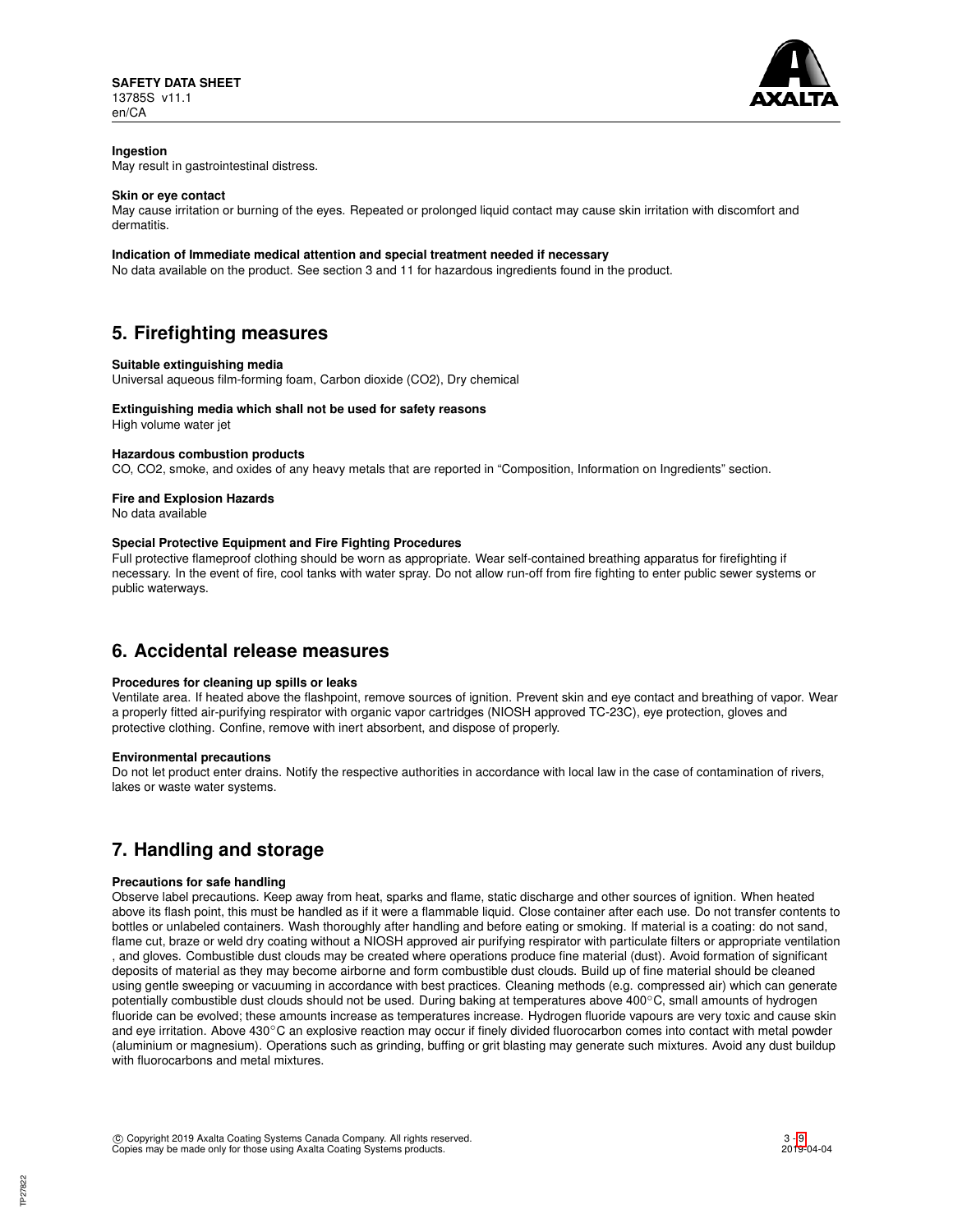

## **Ingestion**

May result in gastrointestinal distress.

### **Skin or eye contact**

May cause irritation or burning of the eyes. Repeated or prolonged liquid contact may cause skin irritation with discomfort and dermatitis.

## **Indication of Immediate medical attention and special treatment needed if necessary**

No data available on the product. See section 3 and 11 for hazardous ingredients found in the product.

# **5. Firefighting measures**

### **Suitable extinguishing media**

Universal aqueous film-forming foam, Carbon dioxide (CO2), Dry chemical

### **Extinguishing media which shall not be used for safety reasons**

High volume water jet

### **Hazardous combustion products**

CO, CO2, smoke, and oxides of any heavy metals that are reported in "Composition, Information on Ingredients" section.

## **Fire and Explosion Hazards**

No data available

### **Special Protective Equipment and Fire Fighting Procedures**

Full protective flameproof clothing should be worn as appropriate. Wear self-contained breathing apparatus for firefighting if necessary. In the event of fire, cool tanks with water spray. Do not allow run-off from fire fighting to enter public sewer systems or public waterways.

## **6. Accidental release measures**

## **Procedures for cleaning up spills or leaks**

Ventilate area. If heated above the flashpoint, remove sources of ignition. Prevent skin and eye contact and breathing of vapor. Wear a properly fitted air-purifying respirator with organic vapor cartridges (NIOSH approved TC-23C), eye protection, gloves and protective clothing. Confine, remove with inert absorbent, and dispose of properly.

### **Environmental precautions**

Do not let product enter drains. Notify the respective authorities in accordance with local law in the case of contamination of rivers, lakes or waste water systems.

# **7. Handling and storage**

## **Precautions for safe handling**

Observe label precautions. Keep away from heat, sparks and flame, static discharge and other sources of ignition. When heated above its flash point, this must be handled as if it were a flammable liquid. Close container after each use. Do not transfer contents to bottles or unlabeled containers. Wash thoroughly after handling and before eating or smoking. If material is a coating: do not sand, flame cut, braze or weld dry coating without a NIOSH approved air purifying respirator with particulate filters or appropriate ventilation , and gloves. Combustible dust clouds may be created where operations produce fine material (dust). Avoid formation of significant deposits of material as they may become airborne and form combustible dust clouds. Build up of fine material should be cleaned using gentle sweeping or vacuuming in accordance with best practices. Cleaning methods (e.g. compressed air) which can generate potentially combustible dust clouds should not be used. During baking at temperatures above 400℃, small amounts of hydrogen fluoride can be evolved; these amounts increase as temperatures increase. Hydrogen fluoride vapours are very toxic and cause skin and eye irritation. Above 430℃ an explosive reaction may occur if finely divided fluorocarbon comes into contact with metal powder (aluminium or magnesium). Operations such as grinding, buffing or grit blasting may generate such mixtures. Avoid any dust buildup with fluorocarbons and metal mixtures.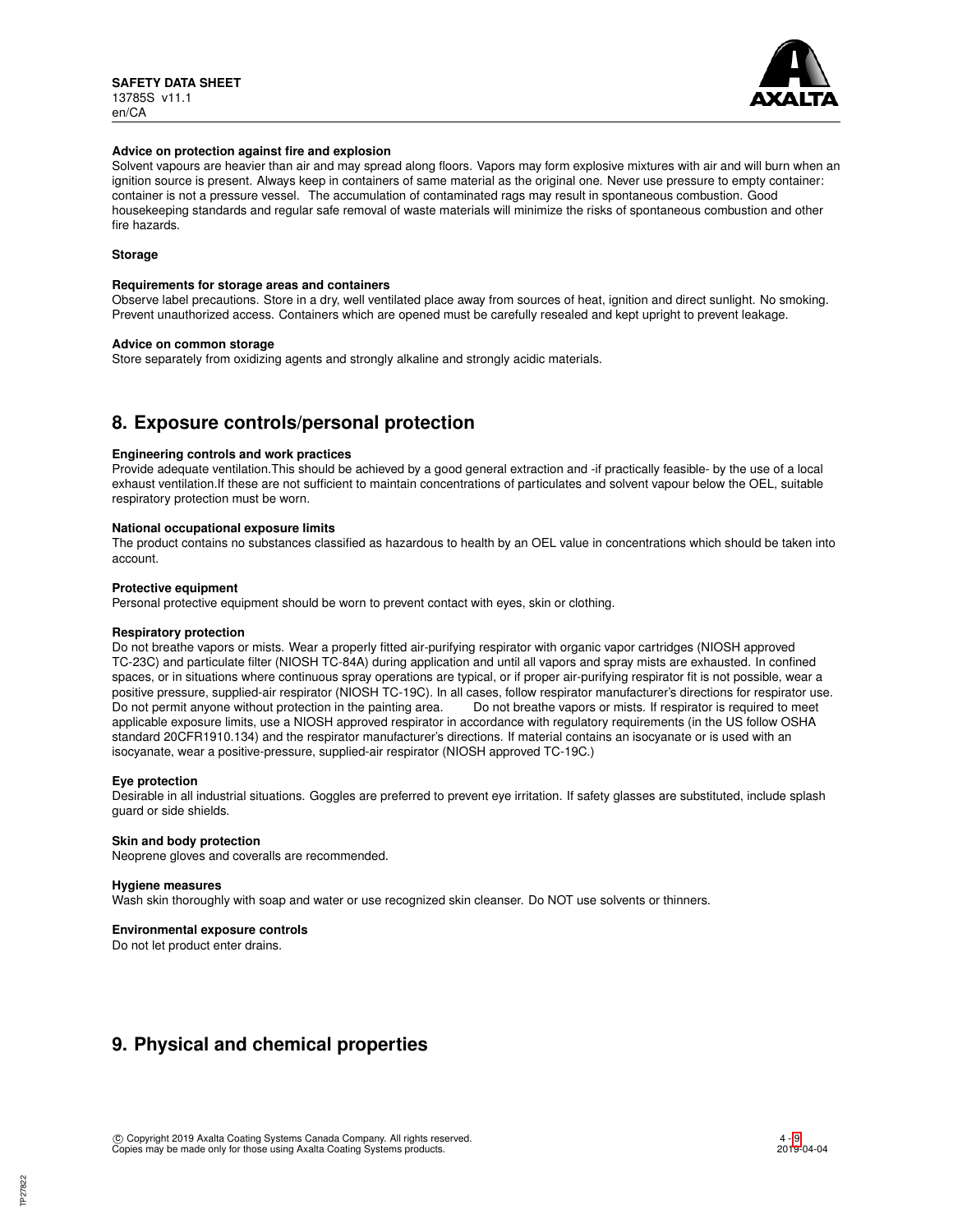

### **Advice on protection against fire and explosion**

Solvent vapours are heavier than air and may spread along floors. Vapors may form explosive mixtures with air and will burn when an ignition source is present. Always keep in containers of same material as the original one. Never use pressure to empty container: container is not a pressure vessel. The accumulation of contaminated rags may result in spontaneous combustion. Good housekeeping standards and regular safe removal of waste materials will minimize the risks of spontaneous combustion and other fire hazards.

## **Storage**

### **Requirements for storage areas and containers**

Observe label precautions. Store in a dry, well ventilated place away from sources of heat, ignition and direct sunlight. No smoking. Prevent unauthorized access. Containers which are opened must be carefully resealed and kept upright to prevent leakage.

### **Advice on common storage**

Store separately from oxidizing agents and strongly alkaline and strongly acidic materials.

# **8. Exposure controls/personal protection**

### **Engineering controls and work practices**

Provide adequate ventilation.This should be achieved by a good general extraction and -if practically feasible- by the use of a local exhaust ventilation.If these are not sufficient to maintain concentrations of particulates and solvent vapour below the OEL, suitable respiratory protection must be worn.

### **National occupational exposure limits**

The product contains no substances classified as hazardous to health by an OEL value in concentrations which should be taken into account.

### **Protective equipment**

Personal protective equipment should be worn to prevent contact with eyes, skin or clothing.

### **Respiratory protection**

Do not breathe vapors or mists. Wear a properly fitted air-purifying respirator with organic vapor cartridges (NIOSH approved TC-23C) and particulate filter (NIOSH TC-84A) during application and until all vapors and spray mists are exhausted. In confined spaces, or in situations where continuous spray operations are typical, or if proper air-purifying respirator fit is not possible, wear a positive pressure, supplied-air respirator (NIOSH TC-19C). In all cases, follow respirator manufacturer's directions for respirator use. Do not permit anyone without protection in the painting area. Do not breathe vapors or mists. If respirator is required to meet applicable exposure limits, use a NIOSH approved respirator in accordance with regulatory requirements (in the US follow OSHA standard 20CFR1910.134) and the respirator manufacturer's directions. If material contains an isocyanate or is used with an isocyanate, wear a positive-pressure, supplied-air respirator (NIOSH approved TC-19C.)

### **Eye protection**

Desirable in all industrial situations. Goggles are preferred to prevent eye irritation. If safety glasses are substituted, include splash guard or side shields.

### **Skin and body protection**

Neoprene gloves and coveralls are recommended.

### **Hygiene measures**

Wash skin thoroughly with soap and water or use recognized skin cleanser. Do NOT use solvents or thinners.

## **Environmental exposure controls**

Do not let product enter drains.

# **9. Physical and chemical properties**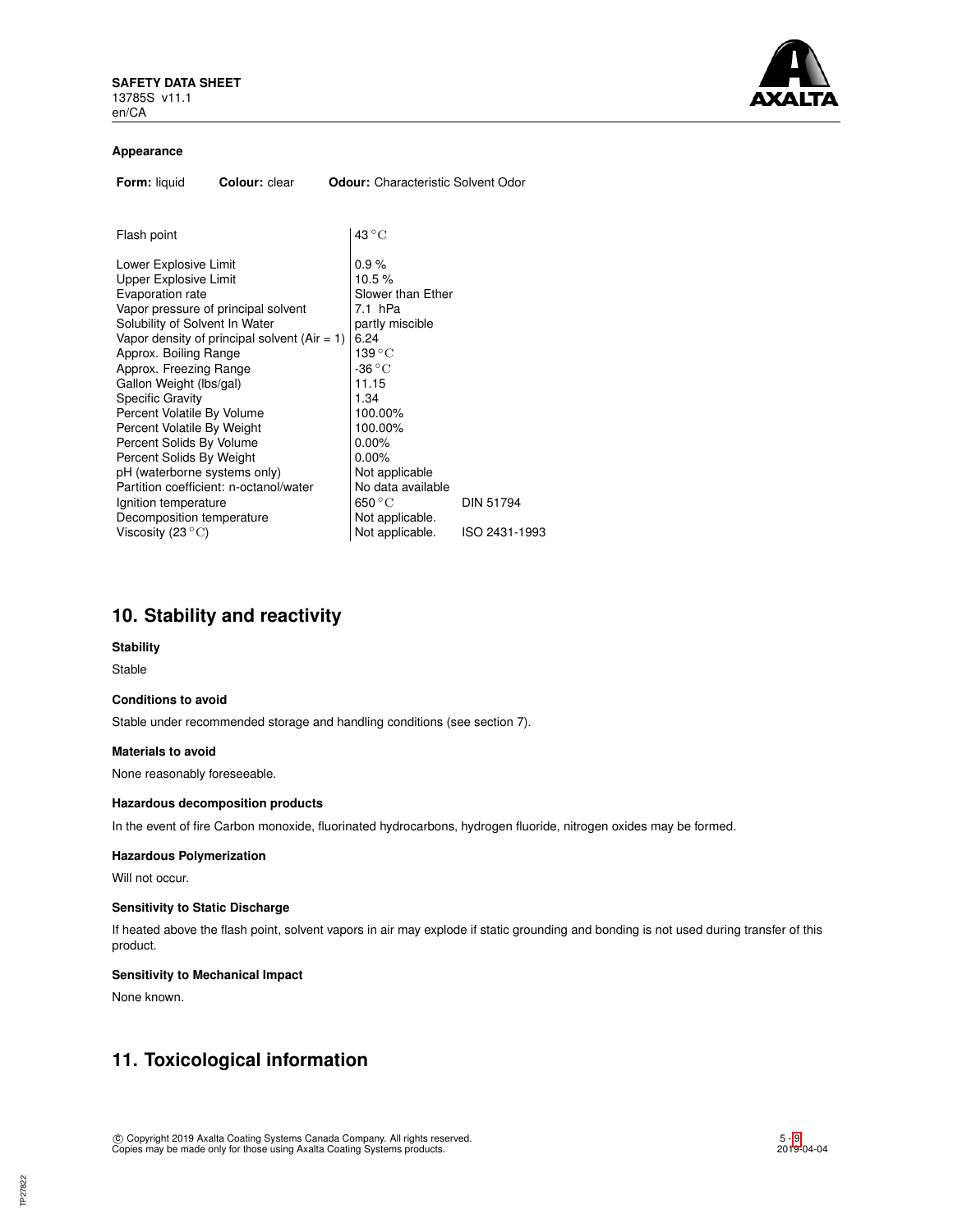

### **Appearance**

| Form: liquid<br>Colour: clear                                                                                                                                                                                                                                                                                                                                                                                                                                                                                                | <b>Odour:</b> Characteristic Solvent Odor                                                                                                                                                                              |                  |
|------------------------------------------------------------------------------------------------------------------------------------------------------------------------------------------------------------------------------------------------------------------------------------------------------------------------------------------------------------------------------------------------------------------------------------------------------------------------------------------------------------------------------|------------------------------------------------------------------------------------------------------------------------------------------------------------------------------------------------------------------------|------------------|
|                                                                                                                                                                                                                                                                                                                                                                                                                                                                                                                              |                                                                                                                                                                                                                        |                  |
| Flash point                                                                                                                                                                                                                                                                                                                                                                                                                                                                                                                  | $43^{\circ}$ C                                                                                                                                                                                                         |                  |
| Lower Explosive Limit<br>Upper Explosive Limit<br>Evaporation rate<br>Vapor pressure of principal solvent<br>Solubility of Solvent In Water<br>Vapor density of principal solvent $(Air = 1)$<br>Approx. Boiling Range<br>Approx. Freezing Range<br>Gallon Weight (lbs/gal)<br><b>Specific Gravity</b><br>Percent Volatile By Volume<br>Percent Volatile By Weight<br>Percent Solids By Volume<br>Percent Solids By Weight<br>pH (waterborne systems only)<br>Partition coefficient: n-octanol/water<br>Ignition temperature | 0.9%<br>10.5%<br>Slower than Ether<br>7.1 hPa<br>partly miscible<br>6.24<br>139 °C<br>-36 $\rm ^{\circ}C$<br>11.15<br>1.34<br>100.00%<br>100.00%<br>0.00%<br>$0.00\%$<br>Not applicable<br>No data available<br>650 °C | <b>DIN 51794</b> |
| Decomposition temperature<br>Viscosity (23 $\mathrm{^{\circ}C}$ )                                                                                                                                                                                                                                                                                                                                                                                                                                                            | Not applicable.<br>Not applicable.                                                                                                                                                                                     | ISO 2431-1993    |

# **10. Stability and reactivity**

### **Stability**

Stable

### **Conditions to avoid**

Stable under recommended storage and handling conditions (see section 7).

### **Materials to avoid**

None reasonably foreseeable.

### **Hazardous decomposition products**

In the event of fire Carbon monoxide, fluorinated hydrocarbons, hydrogen fluoride, nitrogen oxides may be formed.

## **Hazardous Polymerization**

Will not occur.

## **Sensitivity to Static Discharge**

If heated above the flash point, solvent vapors in air may explode if static grounding and bonding is not used during transfer of this product.

## **Sensitivity to Mechanical Impact**

None known.

TP27822

# **11. Toxicological information**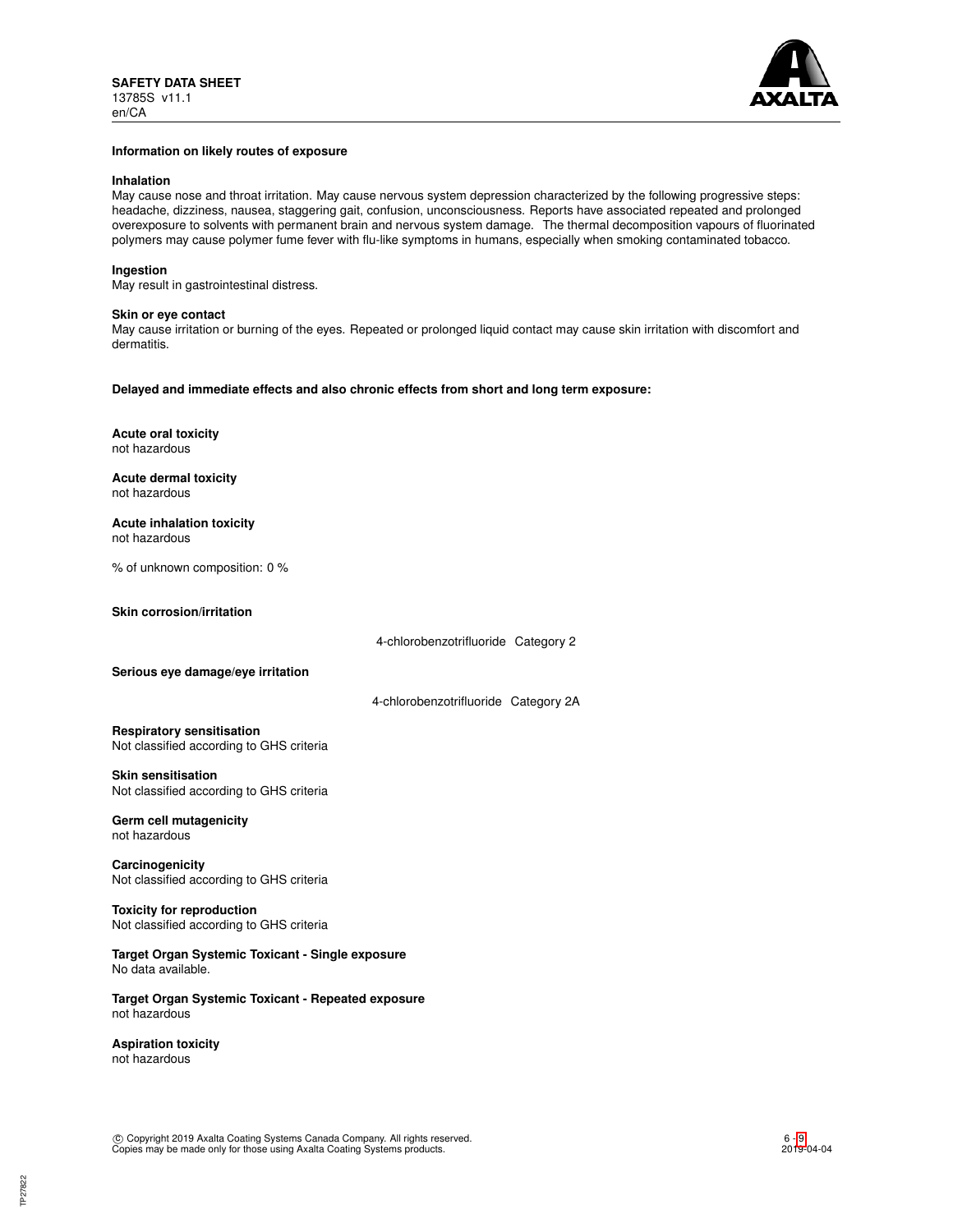

### **Information on likely routes of exposure**

### **Inhalation**

May cause nose and throat irritation. May cause nervous system depression characterized by the following progressive steps: headache, dizziness, nausea, staggering gait, confusion, unconsciousness. Reports have associated repeated and prolonged overexposure to solvents with permanent brain and nervous system damage. The thermal decomposition vapours of fluorinated polymers may cause polymer fume fever with flu-like symptoms in humans, especially when smoking contaminated tobacco.

### **Ingestion**

May result in gastrointestinal distress.

### **Skin or eye contact**

May cause irritation or burning of the eyes. Repeated or prolonged liquid contact may cause skin irritation with discomfort and dermatitis.

**Delayed and immediate effects and also chronic effects from short and long term exposure:**

**Acute oral toxicity** not hazardous

**Acute dermal toxicity** not hazardous

**Acute inhalation toxicity** not hazardous

% of unknown composition: 0 %

**Skin corrosion/irritation**

4-chlorobenzotrifluoride Category 2

**Serious eye damage/eye irritation**

4-chlorobenzotrifluoride Category 2A

**Respiratory sensitisation** Not classified according to GHS criteria

### **Skin sensitisation**

Not classified according to GHS criteria

#### **Germ cell mutagenicity** not hazardous

**Carcinogenicity** Not classified according to GHS criteria

**Toxicity for reproduction** Not classified according to GHS criteria

**Target Organ Systemic Toxicant - Single exposure** No data available.

**Target Organ Systemic Toxicant - Repeated exposure** not hazardous

**Aspiration toxicity** not hazardous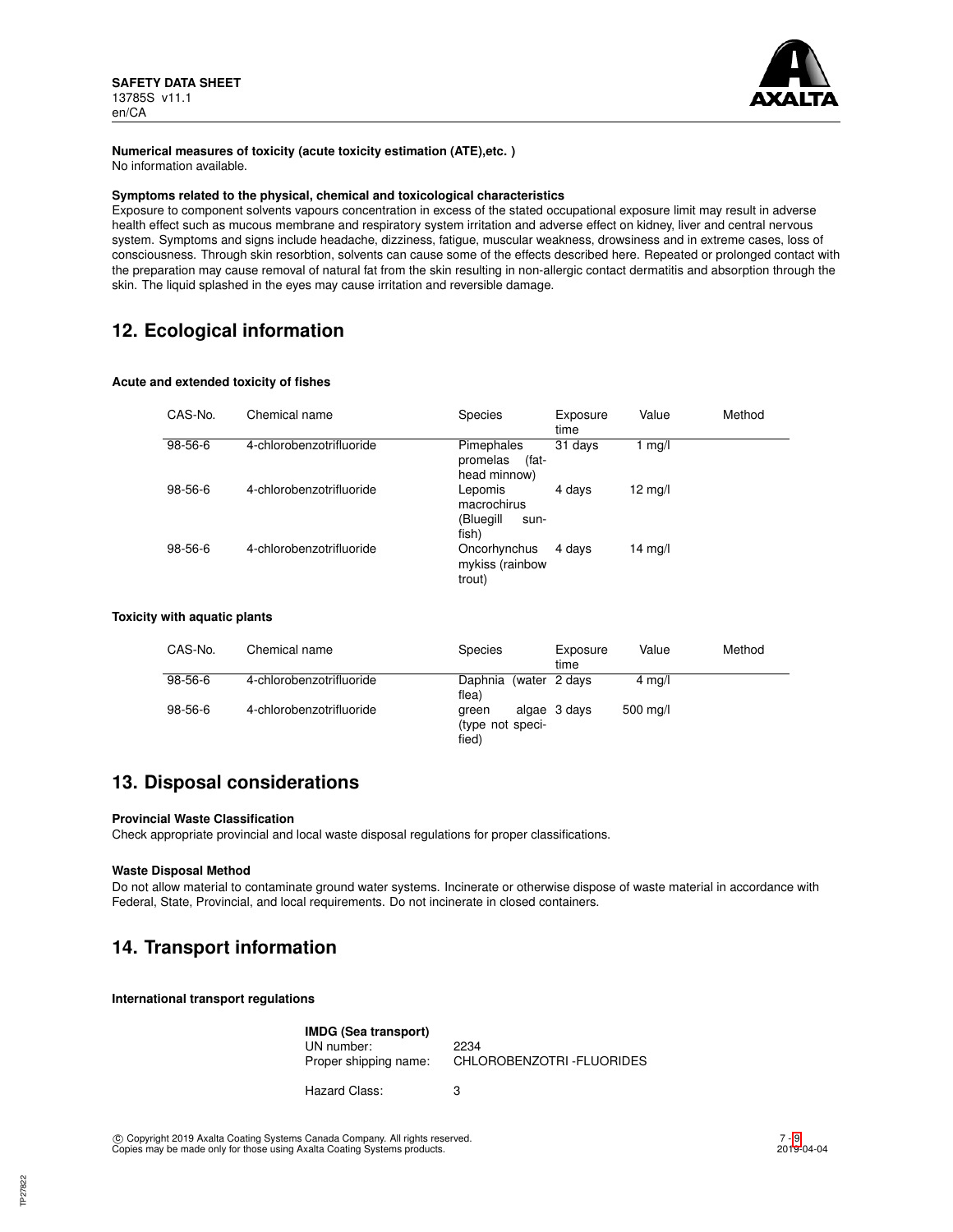

## **Numerical measures of toxicity (acute toxicity estimation (ATE),etc. )**

No information available.

## **Symptoms related to the physical, chemical and toxicological characteristics**

Exposure to component solvents vapours concentration in excess of the stated occupational exposure limit may result in adverse health effect such as mucous membrane and respiratory system irritation and adverse effect on kidney, liver and central nervous system. Symptoms and signs include headache, dizziness, fatigue, muscular weakness, drowsiness and in extreme cases, loss of consciousness. Through skin resorbtion, solvents can cause some of the effects described here. Repeated or prolonged contact with the preparation may cause removal of natural fat from the skin resulting in non-allergic contact dermatitis and absorption through the skin. The liquid splashed in the eyes may cause irritation and reversible damage.

# **12. Ecological information**

## **Acute and extended toxicity of fishes**

| CAS-No. | Chemical name            | <b>Species</b>                                       | Exposure<br>time | Value             | Method |
|---------|--------------------------|------------------------------------------------------|------------------|-------------------|--------|
| 98-56-6 | 4-chlorobenzotrifluoride | Pimephales<br>(fat-<br>promelas<br>head minnow)      | 31 days          | 1 mg/l            |        |
| 98-56-6 | 4-chlorobenzotrifluoride | Lepomis<br>macrochirus<br>(Bluegill<br>sun-<br>fish) | 4 days           | $12 \text{ mg/l}$ |        |
| 98-56-6 | 4-chlorobenzotrifluoride | Oncorhynchus<br>mykiss (rainbow<br>trout)            | 4 days           | $14 \text{ mg/l}$ |        |

## **Toxicity with aquatic plants**

| CAS-No. | Chemical name            | <b>Species</b><br>time                             | Value<br>Exposure | Method |
|---------|--------------------------|----------------------------------------------------|-------------------|--------|
| 98-56-6 | 4-chlorobenzotrifluoride | Daphnia (water 2 days<br>flea)                     | $4 \text{ mg/l}$  |        |
| 98-56-6 | 4-chlorobenzotrifluoride | algae 3 days<br>areen<br>(type not speci-<br>fied) | 500 mg/l          |        |

# **13. Disposal considerations**

## **Provincial Waste Classification**

Check appropriate provincial and local waste disposal regulations for proper classifications.

## **Waste Disposal Method**

Do not allow material to contaminate ground water systems. Incinerate or otherwise dispose of waste material in accordance with Federal, State, Provincial, and local requirements. Do not incinerate in closed containers.

# **14. Transport information**

**International transport regulations**

| IMDG (Sea transport)  |                                 |
|-----------------------|---------------------------------|
| UN number:            | 2234                            |
| Proper shipping name: | <b>CHLOROBENZOTRI-FLUORIDES</b> |

Hazard Class: 3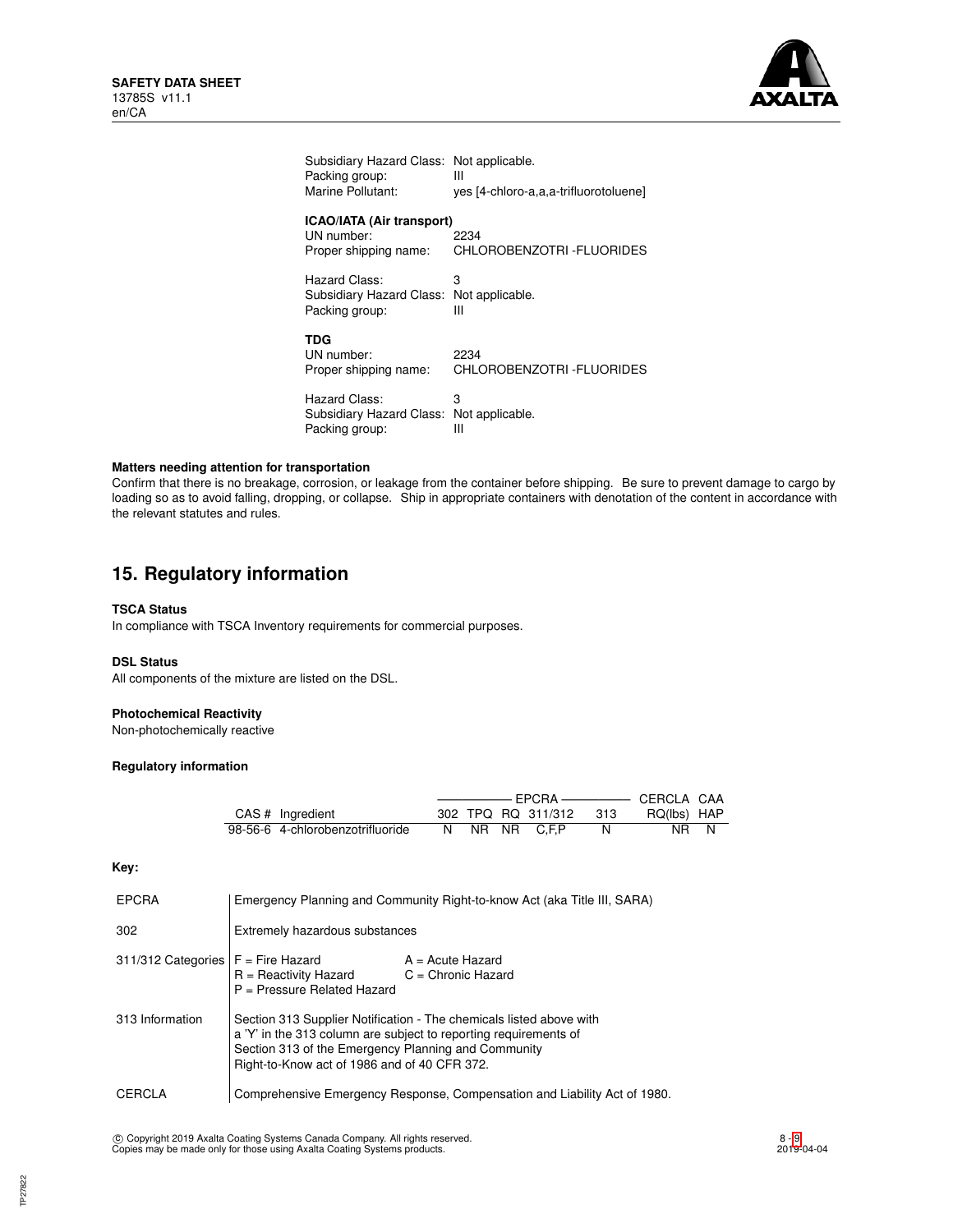

| Subsidiary Hazard Class:                                                | Not applicable.                       |
|-------------------------------------------------------------------------|---------------------------------------|
| Packing group:                                                          | Ш                                     |
| Marine Pollutant:                                                       | yes [4-chloro-a,a,a-trifluorotoluene] |
| <b>ICAO/IATA (Air transport)</b><br>UN number:<br>Proper shipping name: | 2234<br>CHLOROBENZOTRI-FLUORIDES      |
| Hazard Class:                                                           | з                                     |
| Subsidiary Hazard Class:                                                | Not applicable.                       |
| Packing group:                                                          | Ш                                     |
| <b>TDG</b><br>UN number:<br>Proper shipping name:                       | 2234<br>CHLOROBENZOTRI-FLUORIDES      |
| Hazard Class:                                                           | 3                                     |
| Subsidiary Hazard Class:                                                | Not applicable.                       |
| Packing group:                                                          | Ш                                     |

### **Matters needing attention for transportation**

Confirm that there is no breakage, corrosion, or leakage from the container before shipping. Be sure to prevent damage to cargo by loading so as to avoid falling, dropping, or collapse. Ship in appropriate containers with denotation of the content in accordance with the relevant statutes and rules.

# **15. Regulatory information**

## **TSCA Status**

In compliance with TSCA Inventory requirements for commercial purposes.

## **DSL Status**

All components of the mixture are listed on the DSL.

## **Photochemical Reactivity**

Non-photochemically reactive

## **Regulatory information**

| CAS # Ingredient                 |    |  | 302 TPQ RQ 311/312 | -313 | RQ(lbs) HAP |  |
|----------------------------------|----|--|--------------------|------|-------------|--|
| 98-56-6 4-chlorobenzotrifluoride | N. |  | NR NR C.F.P        |      | NR.         |  |

**Key:**

| EPCRA                                | Emergency Planning and Community Right-to-know Act (aka Title III, SARA)                                                                                                                                                                       |  |  |
|--------------------------------------|------------------------------------------------------------------------------------------------------------------------------------------------------------------------------------------------------------------------------------------------|--|--|
| 302                                  | Extremely hazardous substances                                                                                                                                                                                                                 |  |  |
| 311/312 Categories $F =$ Fire Hazard | $A = Acute$ Hazard<br>$R =$ Reactivity Hazard<br>$C =$ Chronic Hazard<br>$P =$ Pressure Related Hazard                                                                                                                                         |  |  |
| 313 Information                      | Section 313 Supplier Notification - The chemicals listed above with<br>a 'Y' in the 313 column are subject to reporting requirements of<br>Section 313 of the Emergency Planning and Community<br>Right-to-Know act of 1986 and of 40 CFR 372. |  |  |
| CERCLA                               | Comprehensive Emergency Response, Compensation and Liability Act of 1980.                                                                                                                                                                      |  |  |